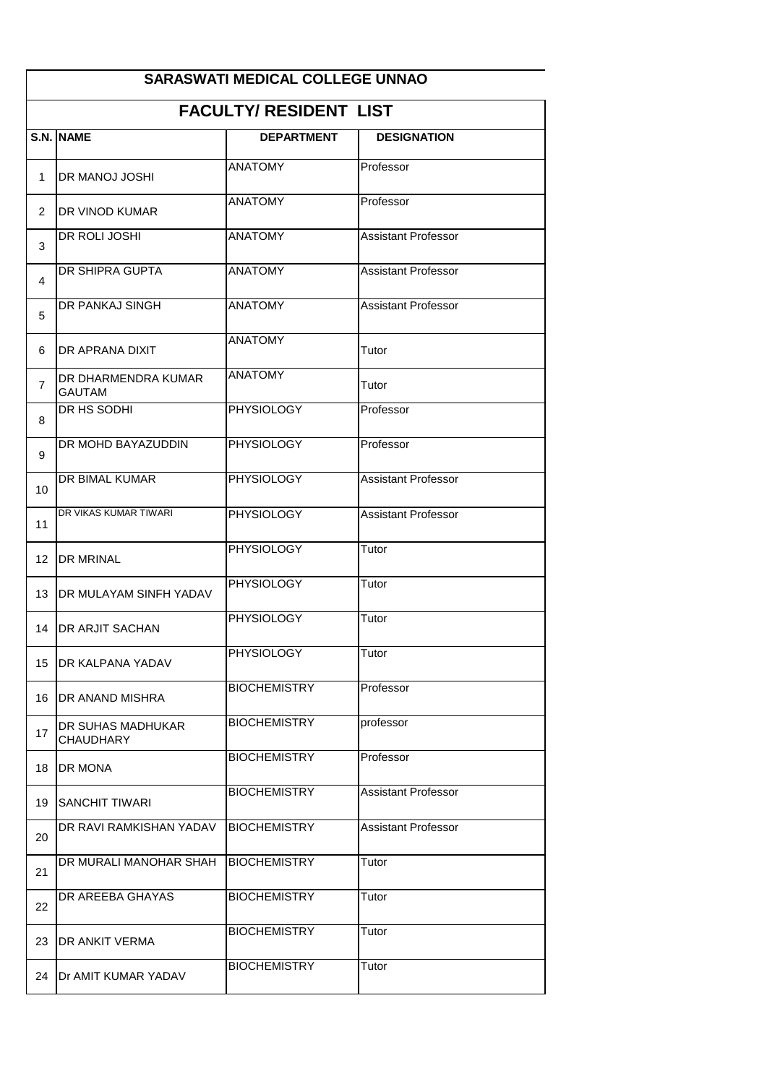| <b>SARASWATI MEDICAL COLLEGE UNNAO</b> |                                       |                     |                            |  |
|----------------------------------------|---------------------------------------|---------------------|----------------------------|--|
| <b>FACULTY/ RESIDENT LIST</b>          |                                       |                     |                            |  |
|                                        | S.N. NAME                             | <b>DEPARTMENT</b>   | <b>DESIGNATION</b>         |  |
| 1                                      | <b>DR MANOJ JOSHI</b>                 | <b>ANATOMY</b>      | Professor                  |  |
| $\overline{2}$                         | IDR VINOD KUMAR                       | <b>ANATOMY</b>      | Professor                  |  |
| 3                                      | DR ROLI JOSHI                         | <b>ANATOMY</b>      | <b>Assistant Professor</b> |  |
| 4                                      | DR SHIPRA GUPTA                       | <b>ANATOMY</b>      | Assistant Professor        |  |
| 5                                      | DR PANKAJ SINGH                       | <b>ANATOMY</b>      | Assistant Professor        |  |
| 6                                      | IDR APRANA DIXIT                      | <b>ANATOMY</b>      | Tutor                      |  |
| 7                                      | DR DHARMENDRA KUMAR<br><b>GAUTAM</b>  | <b>ANATOMY</b>      | Tutor                      |  |
| 8                                      | DR HS SODHI                           | <b>PHYSIOLOGY</b>   | Professor                  |  |
| 9                                      | DR MOHD BAYAZUDDIN                    | <b>PHYSIOLOGY</b>   | Professor                  |  |
| 10                                     | <b>DR BIMAL KUMAR</b>                 | <b>PHYSIOLOGY</b>   | <b>Assistant Professor</b> |  |
| 11                                     | DR VIKAS KUMAR TIWARI                 | <b>PHYSIOLOGY</b>   | Assistant Professor        |  |
| 12 <sup>°</sup>                        | <b>IDR MRINAL</b>                     | <b>PHYSIOLOGY</b>   | Tutor                      |  |
| 13                                     | <b>DR MULAYAM SINFH YADAV</b>         | <b>PHYSIOLOGY</b>   | Tutor                      |  |
| 14                                     | <b>IDR ARJIT SACHAN</b>               | <b>PHYSIOLOGY</b>   | Tutor                      |  |
| 15                                     | DR KALPANA YADAV                      | <b>PHYSIOLOGY</b>   | Tutor                      |  |
| 16                                     | IDR ANAND MISHRA                      | <b>BIOCHEMISTRY</b> | Professor                  |  |
| 17                                     | DR SUHAS MADHUKAR<br><b>CHAUDHARY</b> | <b>BIOCHEMISTRY</b> | professor                  |  |
| 18                                     | DR MONA                               | <b>BIOCHEMISTRY</b> | Professor                  |  |
| 19                                     | ISANCHIT TIWARI                       | <b>BIOCHEMISTRY</b> | <b>Assistant Professor</b> |  |
| 20                                     | DR RAVI RAMKISHAN YADAV               | <b>BIOCHEMISTRY</b> | Assistant Professor        |  |
| 21                                     | DR MURALI MANOHAR SHAH                | <b>BIOCHEMISTRY</b> | Tutor                      |  |
| 22                                     | DR AREEBA GHAYAS                      | <b>BIOCHEMISTRY</b> | Tutor                      |  |
| 23                                     | IDR ANKIT VERMA                       | <b>BIOCHEMISTRY</b> | Tutor                      |  |
| 24                                     | IDr AMIT KUMAR YADAV                  | <b>BIOCHEMISTRY</b> | Tutor                      |  |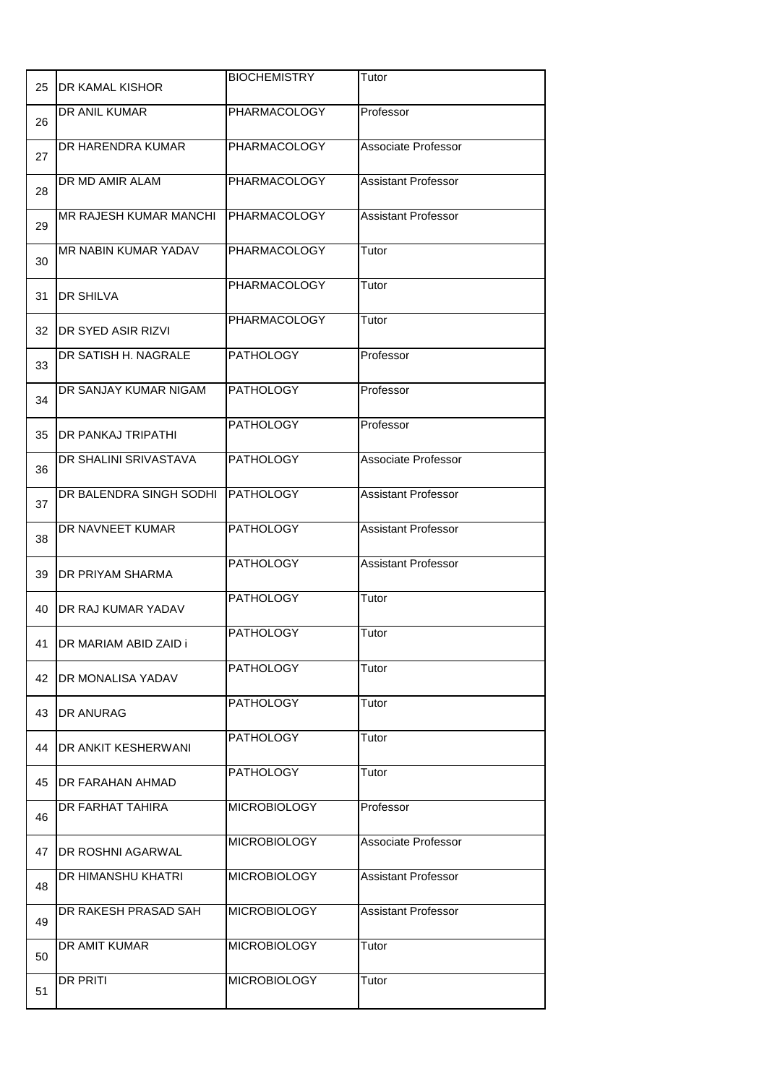| 25 | IDR KAMAL KISHOR              | <b>BIOCHEMISTRY</b> | Tutor                      |
|----|-------------------------------|---------------------|----------------------------|
| 26 | DR ANIL KUMAR                 | PHARMACOLOGY        | Professor                  |
| 27 | DR HARENDRA KUMAR             | <b>PHARMACOLOGY</b> | Associate Professor        |
| 28 | DR MD AMIR ALAM               | <b>PHARMACOLOGY</b> | <b>Assistant Professor</b> |
| 29 | <b>MR RAJESH KUMAR MANCHI</b> | <b>PHARMACOLOGY</b> | <b>Assistant Professor</b> |
| 30 | <b>MR NABIN KUMAR YADAV</b>   | <b>PHARMACOLOGY</b> | Tutor                      |
| 31 | <b>DR SHILVA</b>              | PHARMACOLOGY        | Tutor                      |
| 32 | IDR SYED ASIR RIZVI           | <b>PHARMACOLOGY</b> | Tutor                      |
| 33 | DR SATISH H. NAGRALE          | <b>PATHOLOGY</b>    | Professor                  |
| 34 | DR SANJAY KUMAR NIGAM         | <b>PATHOLOGY</b>    | Professor                  |
| 35 | IDR PANKAJ TRIPATHI           | <b>PATHOLOGY</b>    | Professor                  |
| 36 | DR SHALINI SRIVASTAVA         | <b>PATHOLOGY</b>    | Associate Professor        |
| 37 | DR BALENDRA SINGH SODHI       | <b>PATHOLOGY</b>    | <b>Assistant Professor</b> |
| 38 | DR NAVNEET KUMAR              | <b>PATHOLOGY</b>    | <b>Assistant Professor</b> |
| 39 | IDR PRIYAM SHARMA             | <b>PATHOLOGY</b>    | <b>Assistant Professor</b> |
| 40 | <b>DR RAJ KUMAR YADAV</b>     | <b>PATHOLOGY</b>    | Tutor                      |
| 41 | DR MARIAM ABID ZAID i         | <b>PATHOLOGY</b>    | Tutor                      |
| 42 | IDR MONALISA YADAV            | <b>PATHOLOGY</b>    | Tutor                      |
| 43 | IDR ANURAG                    | <b>PATHOLOGY</b>    | Tutor                      |
| 44 | IDR ANKIT KESHERWANI          | <b>PATHOLOGY</b>    | Tutor                      |
| 45 | IDR FARAHAN AHMAD             | <b>PATHOLOGY</b>    | Tutor                      |
| 46 | DR FARHAT TAHIRA              | <b>MICROBIOLOGY</b> | Professor                  |
| 47 | IDR ROSHNI AGARWAL            | <b>MICROBIOLOGY</b> | Associate Professor        |
| 48 | DR HIMANSHU KHATRI            | <b>MICROBIOLOGY</b> | <b>Assistant Professor</b> |
| 49 | DR RAKESH PRASAD SAH          | <b>MICROBIOLOGY</b> | Assistant Professor        |
| 50 | DR AMIT KUMAR                 | <b>MICROBIOLOGY</b> | Tutor                      |
| 51 | DR PRITI                      | <b>MICROBIOLOGY</b> | Tutor                      |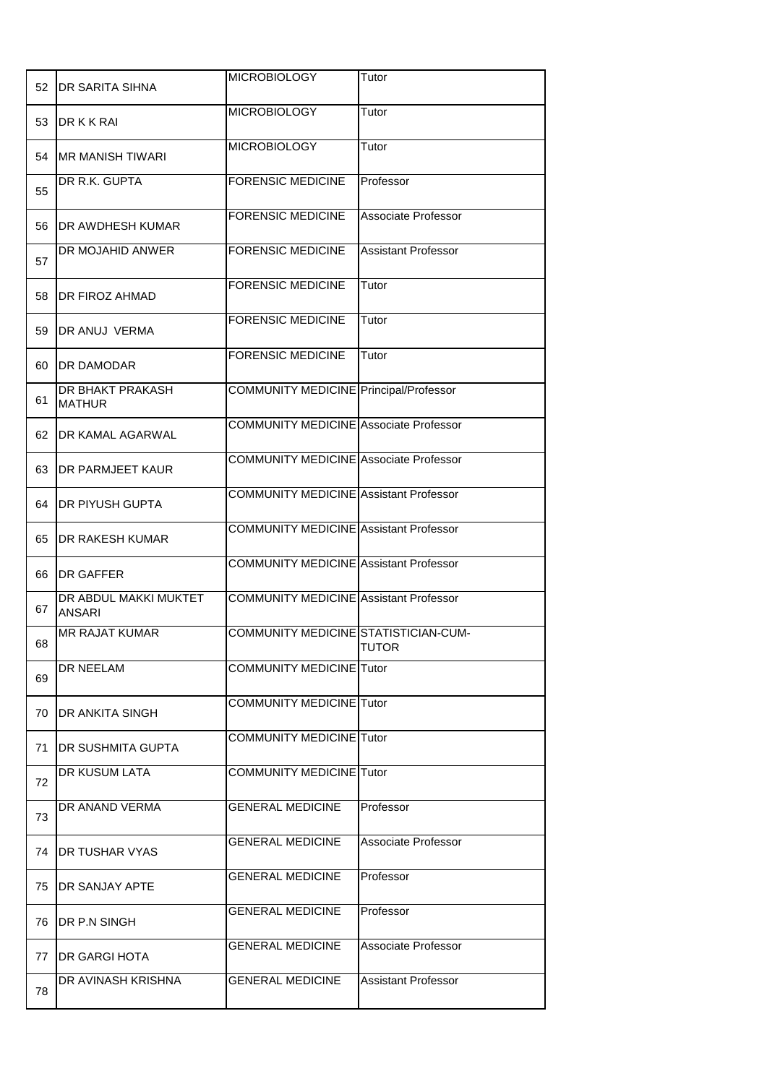| 52 | IDR SARITA SIHNA                       | <b>MICROBIOLOGY</b>                           | Tutor                      |
|----|----------------------------------------|-----------------------------------------------|----------------------------|
| 53 | <b>IDR K K RAI</b>                     | <b>MICROBIOLOGY</b>                           | Tutor                      |
| 54 | <b>IMR MANISH TIWARI</b>               | <b>MICROBIOLOGY</b>                           | Tutor                      |
| 55 | DR R.K. GUPTA                          | <b>FORENSIC MEDICINE</b>                      | Professor                  |
| 56 | IDR AWDHESH KUMAR                      | <b>FORENSIC MEDICINE</b>                      | Associate Professor        |
| 57 | DR MOJAHID ANWER                       | <b>FORENSIC MEDICINE</b>                      | <b>Assistant Professor</b> |
| 58 | IDR FIROZ AHMAD                        | <b>FORENSIC MEDICINE</b>                      | Tutor                      |
| 59 | IDR ANUJ VERMA                         | <b>FORENSIC MEDICINE</b>                      | Tutor                      |
| 60 | <b>IDR DAMODAR</b>                     | <b>FORENSIC MEDICINE</b>                      | Tutor                      |
| 61 | DR BHAKT PRAKASH<br><b>MATHUR</b>      | <b>COMMUNITY MEDICINE Principal/Professor</b> |                            |
| 62 | IDR KAMAL AGARWAL                      | <b>COMMUNITY MEDICINE Associate Professor</b> |                            |
| 63 | <b>IDR PARMJEET KAUR</b>               | <b>COMMUNITY MEDICINE Associate Professor</b> |                            |
| 64 | IDR PIYUSH GUPTA                       | <b>COMMUNITY MEDICINE Assistant Professor</b> |                            |
| 65 | IDR RAKESH KUMAR                       | <b>COMMUNITY MEDICINE Assistant Professor</b> |                            |
| 66 | <b>DR GAFFER</b>                       | <b>COMMUNITY MEDICINE Assistant Professor</b> |                            |
| 67 | DR ABDUL MAKKI MUKTET<br><b>ANSARI</b> | <b>COMMUNITY MEDICINE Assistant Professor</b> |                            |
| 68 | <b>MR RAJAT KUMAR</b>                  | COMMUNITY MEDICINE STATISTICIAN-CUM-          | <b>TUTOR</b>               |
| 69 | DR NEELAM                              | <b>COMMUNITY MEDICINE Tutor</b>               |                            |
| 70 | IDR ANKITA SINGH                       | <b>COMMUNITY MEDICINE Tutor</b>               |                            |
| 71 | IDR SUSHMITA GUPTA                     | <b>COMMUNITY MEDICINE</b> Tutor               |                            |
| 72 | DR KUSUM LATA                          | <b>COMMUNITY MEDICINE</b> Tutor               |                            |
| 73 | DR ANAND VERMA                         | <b>GENERAL MEDICINE</b>                       | Professor                  |
| 74 | IDR TUSHAR VYAS                        | <b>GENERAL MEDICINE</b>                       | Associate Professor        |
| 75 | IDR SANJAY APTE                        | <b>GENERAL MEDICINE</b>                       | Professor                  |
| 76 | <b>IDR P.N SINGH</b>                   | <b>GENERAL MEDICINE</b>                       | Professor                  |
| 77 | IDR GARGI HOTA                         | <b>GENERAL MEDICINE</b>                       | Associate Professor        |
| 78 | DR AVINASH KRISHNA                     | <b>GENERAL MEDICINE</b>                       | <b>Assistant Professor</b> |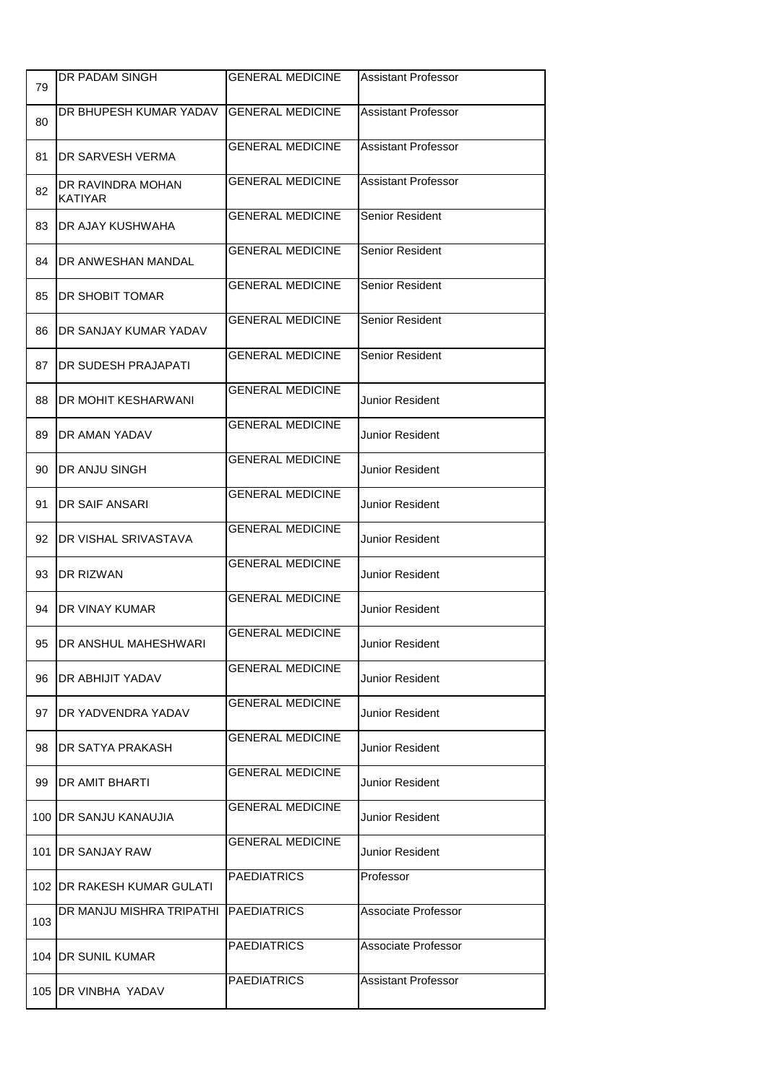| 79  | DR PADAM SINGH              | <b>GENERAL MEDICINE</b> | Assistant Professor        |
|-----|-----------------------------|-------------------------|----------------------------|
|     |                             |                         |                            |
| 80  | DR BHUPESH KUMAR YADAV      | <b>GENERAL MEDICINE</b> | Assistant Professor        |
|     |                             | <b>GENERAL MEDICINE</b> | Assistant Professor        |
| 81  | DR SARVESH VERMA            |                         |                            |
|     | DR RAVINDRA MOHAN           | <b>GENERAL MEDICINE</b> | <b>Assistant Professor</b> |
| 82  | <b>KATIYAR</b>              |                         |                            |
|     |                             | <b>GENERAL MEDICINE</b> | Senior Resident            |
| 83  | IDR AJAY KUSHWAHA           |                         |                            |
| 84  | IDR ANWESHAN MANDAL         | <b>GENERAL MEDICINE</b> | Senior Resident            |
|     |                             |                         |                            |
| 85  | IDR SHOBIT TOMAR            | <b>GENERAL MEDICINE</b> | Senior Resident            |
|     |                             | <b>GENERAL MEDICINE</b> | Senior Resident            |
| 86  | IDR SANJAY KUMAR YADAV      |                         |                            |
|     |                             | <b>GENERAL MEDICINE</b> | Senior Resident            |
| 87  | <b>DR SUDESH PRAJAPATI</b>  |                         |                            |
|     |                             | <b>GENERAL MEDICINE</b> |                            |
| 88  | IDR MOHIT KESHARWANI        |                         | Junior Resident            |
|     |                             | <b>GENERAL MEDICINE</b> |                            |
| 89  | IDR AMAN YADAV              |                         | Junior Resident            |
| 90  | <b>IDR ANJU SINGH</b>       | <b>GENERAL MEDICINE</b> | Junior Resident            |
|     |                             |                         |                            |
| 91  | IDR SAIF ANSARI             | <b>GENERAL MEDICINE</b> | Junior Resident            |
|     |                             | <b>GENERAL MEDICINE</b> |                            |
| 92  | IDR VISHAL SRIVASTAVA       |                         | Junior Resident            |
|     |                             | <b>GENERAL MEDICINE</b> |                            |
| 93  | <b>IDR RIZWAN</b>           |                         | Junior Resident            |
|     |                             | <b>GENERAL MEDICINE</b> |                            |
| 94  | <b>IDR VINAY KUMAR</b>      |                         | Junior Resident            |
|     | 95   DR ANSHUL MAHESHWARI   | <b>GENERAL MEDICINE</b> | Junior Resident            |
|     |                             |                         |                            |
| 96  | IDR ABHIJIT YADAV           | <b>GENERAL MEDICINE</b> | Junior Resident            |
|     |                             |                         |                            |
| 97  | IDR YADVENDRA YADAV         | <b>GENERAL MEDICINE</b> | Junior Resident            |
|     |                             | <b>GENERAL MEDICINE</b> |                            |
| 98  | IDR SATYA PRAKASH           |                         | Junior Resident            |
|     |                             | <b>GENERAL MEDICINE</b> |                            |
| 99  | IDR AMIT BHARTI             |                         | Junior Resident            |
|     |                             | <b>GENERAL MEDICINE</b> |                            |
|     | 100 IDR SANJU KANAUJIA      |                         | Junior Resident            |
|     | 101   DR SANJAY RAW         | <b>GENERAL MEDICINE</b> | Junior Resident            |
|     |                             |                         |                            |
|     | 102 JDR RAKESH KUMAR GULATI | <b>PAEDIATRICS</b>      | Professor                  |
|     | DR MANJU MISHRA TRIPATHI    | <b>PAEDIATRICS</b>      | Associate Professor        |
| 103 |                             |                         |                            |
|     |                             | <b>PAEDIATRICS</b>      | Associate Professor        |
|     | 104 IDR SUNIL KUMAR         |                         |                            |
|     |                             | <b>PAEDIATRICS</b>      | <b>Assistant Professor</b> |
|     | 105   DR VINBHA YADAV       |                         |                            |
|     |                             |                         |                            |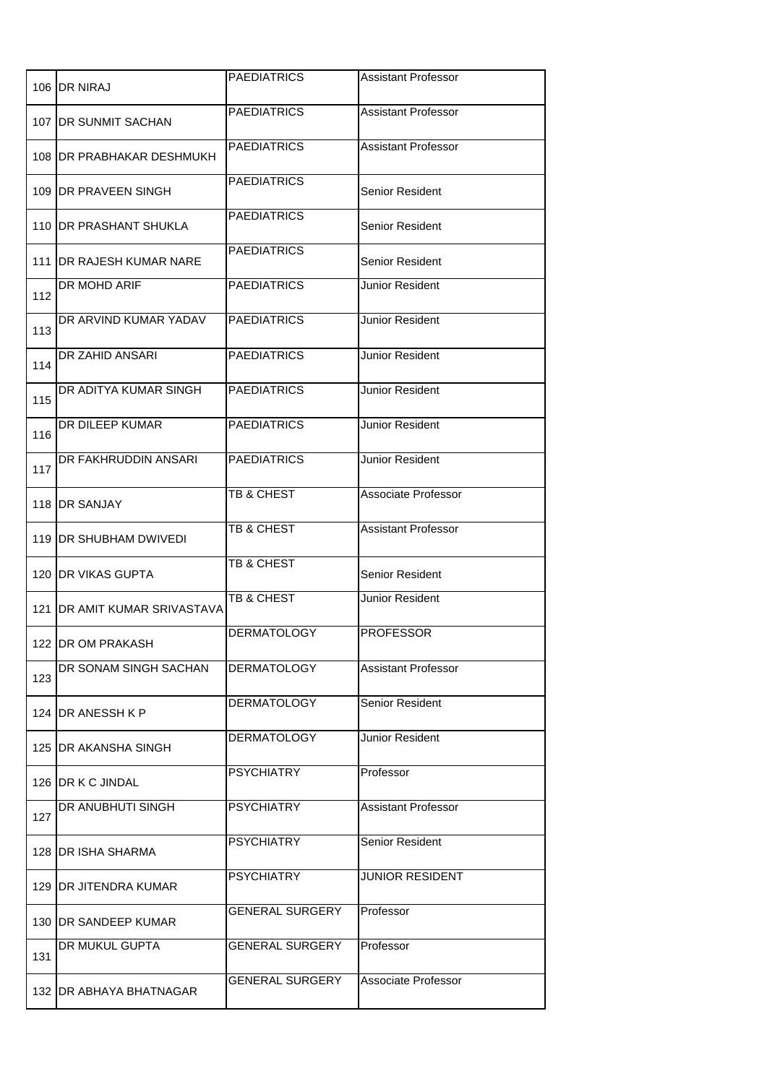|     | 106 DR NIRAJ                 | <b>PAEDIATRICS</b>     | <b>Assistant Professor</b> |
|-----|------------------------------|------------------------|----------------------------|
|     | 107 DR SUNMIT SACHAN         | <b>PAEDIATRICS</b>     | <b>Assistant Professor</b> |
|     | 108 IDR PRABHAKAR DESHMUKH   | <b>PAEDIATRICS</b>     | <b>Assistant Professor</b> |
|     | 109 IDR PRAVEEN SINGH        | <b>PAEDIATRICS</b>     | Senior Resident            |
|     | 110 IDR PRASHANT SHUKLA      | <b>PAEDIATRICS</b>     | Senior Resident            |
|     | 111 JDR RAJESH KUMAR NARE    | <b>PAEDIATRICS</b>     | Senior Resident            |
| 112 | DR MOHD ARIF                 | <b>PAEDIATRICS</b>     | Junior Resident            |
| 113 | DR ARVIND KUMAR YADAV        | <b>PAEDIATRICS</b>     | Junior Resident            |
| 114 | <b>DR ZAHID ANSARI</b>       | <b>PAEDIATRICS</b>     | Junior Resident            |
| 115 | DR ADITYA KUMAR SINGH        | <b>PAEDIATRICS</b>     | Junior Resident            |
| 116 | DR DILEEP KUMAR              | <b>PAEDIATRICS</b>     | Junior Resident            |
| 117 | DR FAKHRUDDIN ANSARI         | <b>PAEDIATRICS</b>     | Junior Resident            |
|     | 118 IDR SANJAY               | TB & CHEST             | Associate Professor        |
|     | 119 IDR SHUBHAM DWIVEDI      | <b>TB &amp; CHEST</b>  | <b>Assistant Professor</b> |
|     | 120 IDR VIKAS GUPTA          | <b>TB &amp; CHEST</b>  | Senior Resident            |
|     | 121 DR AMIT KUMAR SRIVASTAVA | TB & CHEST             | Junior Resident            |
|     | 122 JDR OM PRAKASH           | <b>DERMATOLOGY</b>     | <b>PROFESSOR</b>           |
| 123 | DR SONAM SINGH SACHAN        | <b>DERMATOLOGY</b>     | Assistant Professor        |
|     | 124 IDR ANESSH K P           | <b>DERMATOLOGY</b>     | Senior Resident            |
|     | 125 IDR AKANSHA SINGH        | <b>DERMATOLOGY</b>     | Junior Resident            |
|     | 126 DR K C JINDAL            | <b>PSYCHIATRY</b>      | Professor                  |
| 127 | DR ANUBHUTI SINGH            | <b>PSYCHIATRY</b>      | <b>Assistant Professor</b> |
|     | 128 IDR ISHA SHARMA          | <b>PSYCHIATRY</b>      | Senior Resident            |
|     | 129 IDR JITENDRA KUMAR       | <b>PSYCHIATRY</b>      | <b>JUNIOR RESIDENT</b>     |
|     | 130 IDR SANDEEP KUMAR        | <b>GENERAL SURGERY</b> | Professor                  |
| 131 | DR MUKUL GUPTA               | <b>GENERAL SURGERY</b> | Professor                  |
|     | 132 JDR ABHAYA BHATNAGAR     | <b>GENERAL SURGERY</b> | Associate Professor        |
|     |                              |                        |                            |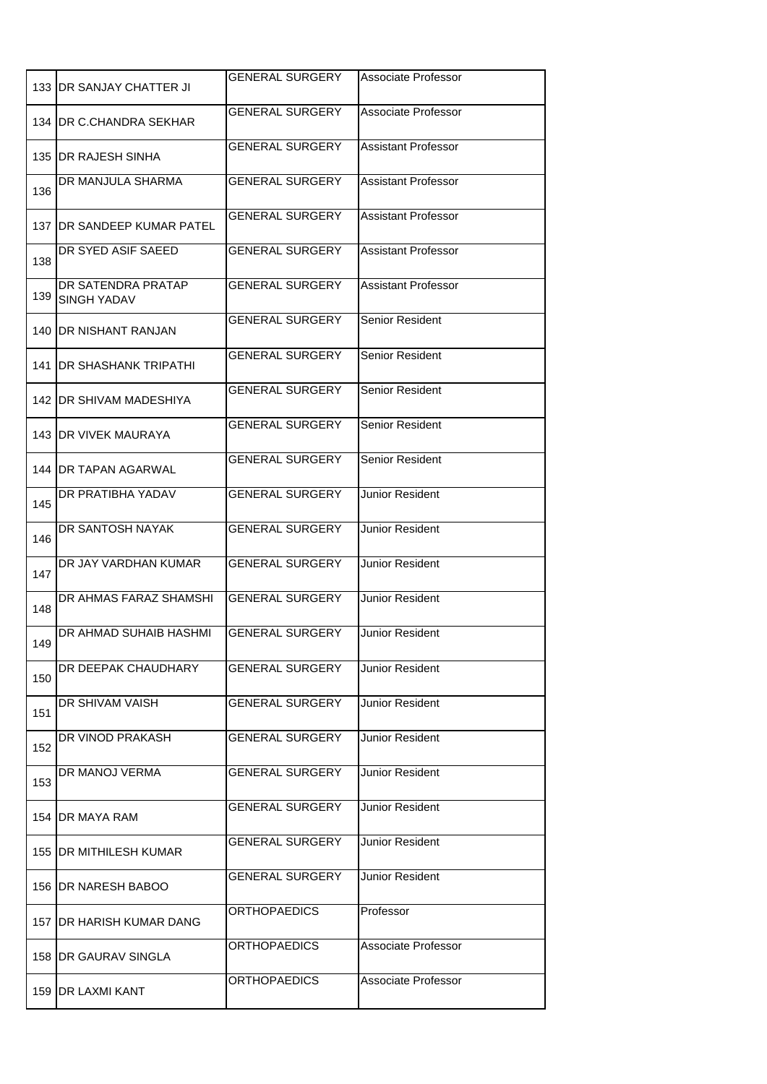|     | 133 DR SANJAY CHATTER JI                 | <b>GENERAL SURGERY</b> | Associate Professor        |
|-----|------------------------------------------|------------------------|----------------------------|
|     | 134 DR C.CHANDRA SEKHAR                  | <b>GENERAL SURGERY</b> | Associate Professor        |
|     | 135 IDR RAJESH SINHA                     | <b>GENERAL SURGERY</b> | <b>Assistant Professor</b> |
| 136 | DR MANJULA SHARMA                        | <b>GENERAL SURGERY</b> | Assistant Professor        |
|     | 137 IDR SANDEEP KUMAR PATEL              | <b>GENERAL SURGERY</b> | <b>Assistant Professor</b> |
| 138 | DR SYED ASIF SAEED                       | <b>GENERAL SURGERY</b> | <b>Assistant Professor</b> |
| 139 | DR SATENDRA PRATAP<br><b>SINGH YADAV</b> | <b>GENERAL SURGERY</b> | <b>Assistant Professor</b> |
|     | 140 IDR NISHANT RANJAN                   | <b>GENERAL SURGERY</b> | Senior Resident            |
|     | 141 IDR SHASHANK TRIPATHI                | <b>GENERAL SURGERY</b> | Senior Resident            |
|     | 142 IDR SHIVAM MADESHIYA                 | <b>GENERAL SURGERY</b> | Senior Resident            |
|     | 143 JDR VIVEK MAURAYA                    | <b>GENERAL SURGERY</b> | Senior Resident            |
|     | 144 IDR TAPAN AGARWAL                    | <b>GENERAL SURGERY</b> | Senior Resident            |
| 145 | DR PRATIBHA YADAV                        | <b>GENERAL SURGERY</b> | <b>Junior Resident</b>     |
| 146 | DR SANTOSH NAYAK                         | <b>GENERAL SURGERY</b> | Junior Resident            |
| 147 | DR JAY VARDHAN KUMAR                     | <b>GENERAL SURGERY</b> | <b>Junior Resident</b>     |
| 148 | DR AHMAS FARAZ SHAMSHI                   | <b>GENERAL SURGERY</b> | <b>Junior Resident</b>     |
| 149 | DR AHMAD SUHAIB HASHMI                   | <b>GENERAL SURGERY</b> | Junior Resident            |
| 150 | DR DEEPAK CHAUDHARY                      | <b>GENERAL SURGERY</b> | Junior Resident            |
| 151 | DR SHIVAM VAISH                          | <b>GENERAL SURGERY</b> | <b>Junior Resident</b>     |
| 152 | DR VINOD PRAKASH                         | <b>GENERAL SURGERY</b> | Junior Resident            |
| 153 | DR MANOJ VERMA                           | <b>GENERAL SURGERY</b> | Junior Resident            |
|     | 154 IDR MAYA RAM                         | <b>GENERAL SURGERY</b> | Junior Resident            |
|     | 155 IDR MITHILESH KUMAR                  | <b>GENERAL SURGERY</b> | Junior Resident            |
|     | 156 JDR NARESH BABOO                     | <b>GENERAL SURGERY</b> | Junior Resident            |
|     | 157 IDR HARISH KUMAR DANG                | <b>ORTHOPAEDICS</b>    | Professor                  |
|     | 158 IDR GAURAV SINGLA                    | <b>ORTHOPAEDICS</b>    | Associate Professor        |
|     | 159 JDR LAXMI KANT                       | <b>ORTHOPAEDICS</b>    | Associate Professor        |
|     |                                          |                        |                            |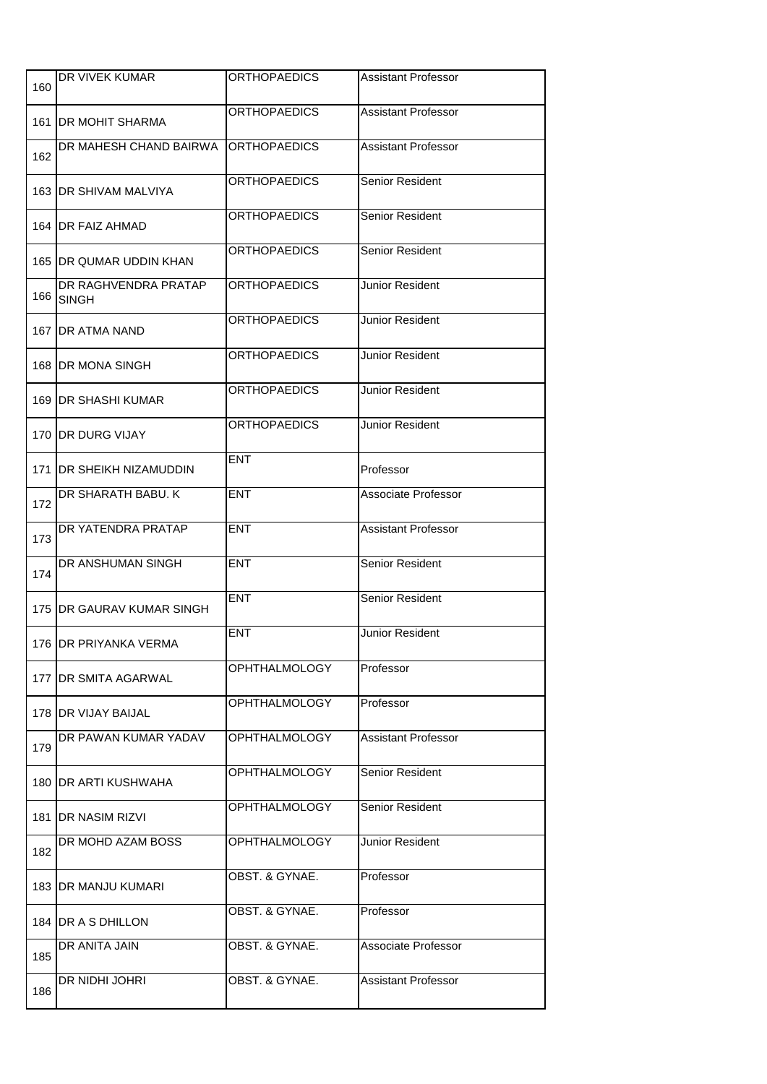| 160 | DR VIVEK KUMAR                       | <b>ORTHOPAEDICS</b>  | <b>Assistant Professor</b> |
|-----|--------------------------------------|----------------------|----------------------------|
|     | 161   DR MOHIT SHARMA                | <b>ORTHOPAEDICS</b>  | <b>Assistant Professor</b> |
| 162 | DR MAHESH CHAND BAIRWA               | <b>ORTHOPAEDICS</b>  | <b>Assistant Professor</b> |
|     | 163 IDR SHIVAM MALVIYA               | <b>ORTHOPAEDICS</b>  | Senior Resident            |
|     | 164 IDR FAIZ AHMAD                   | <b>ORTHOPAEDICS</b>  | Senior Resident            |
|     | 165   DR QUMAR UDDIN KHAN            | <b>ORTHOPAEDICS</b>  | Senior Resident            |
| 166 | DR RAGHVENDRA PRATAP<br><b>SINGH</b> | <b>ORTHOPAEDICS</b>  | Junior Resident            |
|     | 167 IDR ATMA NAND                    | <b>ORTHOPAEDICS</b>  | Junior Resident            |
|     | 168 IDR MONA SINGH                   | <b>ORTHOPAEDICS</b>  | Junior Resident            |
|     | 169 DR SHASHI KUMAR                  | <b>ORTHOPAEDICS</b>  | Junior Resident            |
|     | 170 DR DURG VIJAY                    | <b>ORTHOPAEDICS</b>  | Junior Resident            |
|     | 171   DR SHEIKH NIZAMUDDIN           | <b>ENT</b>           | Professor                  |
| 172 | DR SHARATH BABU. K                   | <b>ENT</b>           | <b>Associate Professor</b> |
| 173 | DR YATENDRA PRATAP                   | <b>ENT</b>           | <b>Assistant Professor</b> |
| 174 | DR ANSHUMAN SINGH                    | <b>ENT</b>           | Senior Resident            |
|     | 175 IDR GAURAV KUMAR SINGH           | <b>ENT</b>           | Senior Resident            |
|     | 176   DR PRIYANKA VERMA              | <b>ENT</b>           | <b>Junior Resident</b>     |
|     | 177 IDR SMITA AGARWAL                | <b>OPHTHALMOLOGY</b> | Professor                  |
|     | 178 IDR VIJAY BAIJAL                 | <b>OPHTHALMOLOGY</b> | Professor                  |
| 179 | DR PAWAN KUMAR YADAV                 | <b>OPHTHALMOLOGY</b> | <b>Assistant Professor</b> |
|     | 180 IDR ARTI KUSHWAHA                | <b>OPHTHALMOLOGY</b> | <b>Senior Resident</b>     |
|     | 181 IDR NASIM RIZVI                  | <b>OPHTHALMOLOGY</b> | Senior Resident            |
| 182 | DR MOHD AZAM BOSS                    | <b>OPHTHALMOLOGY</b> | Junior Resident            |
|     | 183 DR MANJU KUMARI                  | OBST. & GYNAE.       | Professor                  |
|     | 184 DR A S DHILLON                   | OBST. & GYNAE.       | Professor                  |
| 185 | DR ANITA JAIN                        | OBST. & GYNAE.       | Associate Professor        |
| 186 | DR NIDHI JOHRI                       | OBST. & GYNAE.       | <b>Assistant Professor</b> |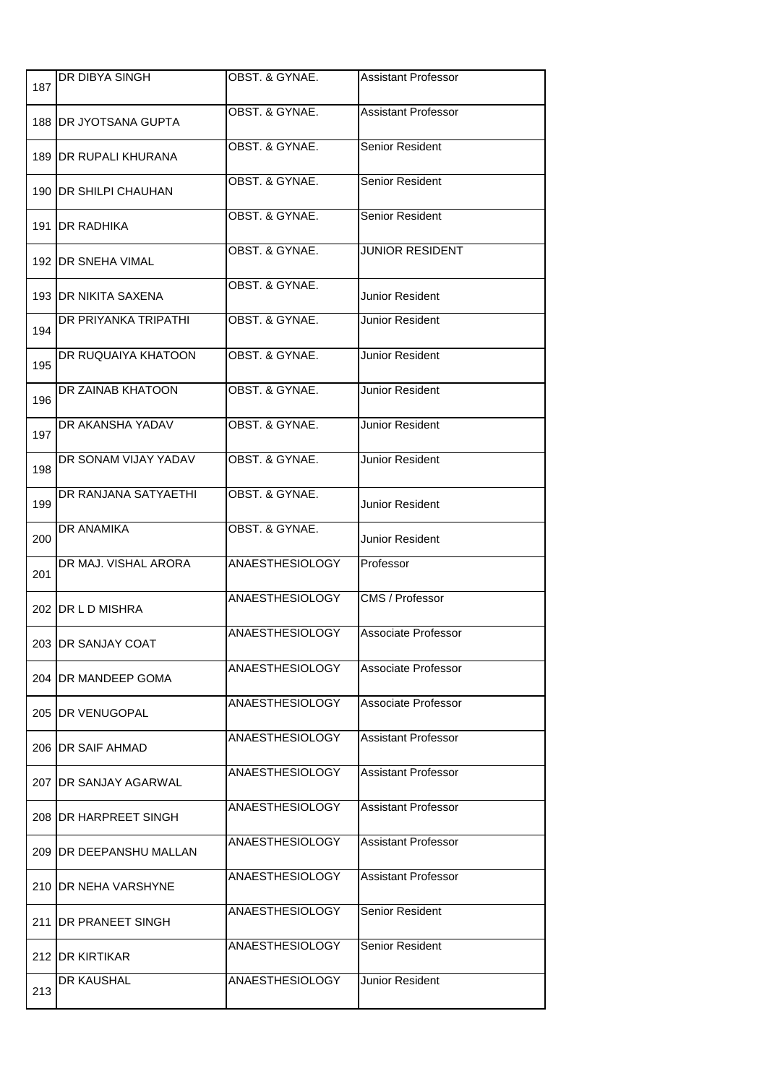| 187 | DR DIBYA SINGH           | OBST. & GYNAE.         | <b>Assistant Professor</b> |
|-----|--------------------------|------------------------|----------------------------|
|     | 188 DR JYOTSANA GUPTA    | OBST. & GYNAE.         | <b>Assistant Professor</b> |
|     | 189 JDR RUPALI KHURANA   | OBST. & GYNAE.         | Senior Resident            |
|     | 190 DR SHILPI CHAUHAN    | OBST. & GYNAE.         | Senior Resident            |
|     | 191 IDR RADHIKA          | OBST. & GYNAE.         | Senior Resident            |
|     | 192 DR SNEHA VIMAL       | OBST. & GYNAE.         | <b>JUNIOR RESIDENT</b>     |
|     | 193   DR NIKITA SAXENA   | OBST. & GYNAE.         | Junior Resident            |
| 194 | DR PRIYANKA TRIPATHI     | OBST. & GYNAE.         | Junior Resident            |
| 195 | DR RUQUAIYA KHATOON      | OBST. & GYNAE.         | Junior Resident            |
| 196 | DR ZAINAB KHATOON        | OBST. & GYNAE.         | Junior Resident            |
| 197 | DR AKANSHA YADAV         | OBST. & GYNAE.         | Junior Resident            |
| 198 | DR SONAM VIJAY YADAV     | OBST. & GYNAE.         | <b>Junior Resident</b>     |
| 199 | DR RANJANA SATYAETHI     | OBST. & GYNAE.         | Junior Resident            |
| 200 | DR ANAMIKA               | OBST. & GYNAE.         | Junior Resident            |
| 201 | DR MAJ. VISHAL ARORA     | <b>ANAESTHESIOLOGY</b> | Professor                  |
|     | 202 DR L D MISHRA        | <b>ANAESTHESIOLOGY</b> | CMS / Professor            |
|     | 203 DR SANJAY COAT       | <b>ANAESTHESIOLOGY</b> | Associate Professor        |
|     | 204 JDR MANDEEP GOMA     | <b>ANAESTHESIOLOGY</b> | Associate Professor        |
|     | 205 IDR VENUGOPAL        | <b>ANAESTHESIOLOGY</b> | Associate Professor        |
|     | 206 IDR SAIF AHMAD       | <b>ANAESTHESIOLOGY</b> | <b>Assistant Professor</b> |
|     | 207 IDR SANJAY AGARWAL   | <b>ANAESTHESIOLOGY</b> | Assistant Professor        |
|     | 208 IDR HARPREET SINGH   | <b>ANAESTHESIOLOGY</b> | <b>Assistant Professor</b> |
|     | 209 IDR DEEPANSHU MALLAN | ANAESTHESIOLOGY        | <b>Assistant Professor</b> |
|     | 210 IDR NEHA VARSHYNE    | <b>ANAESTHESIOLOGY</b> | <b>Assistant Professor</b> |
|     | 211 IDR PRANEET SINGH    | <b>ANAESTHESIOLOGY</b> | Senior Resident            |
|     | 212 JDR KIRTIKAR         | <b>ANAESTHESIOLOGY</b> | Senior Resident            |
| 213 | DR KAUSHAL               | <b>ANAESTHESIOLOGY</b> | Junior Resident            |